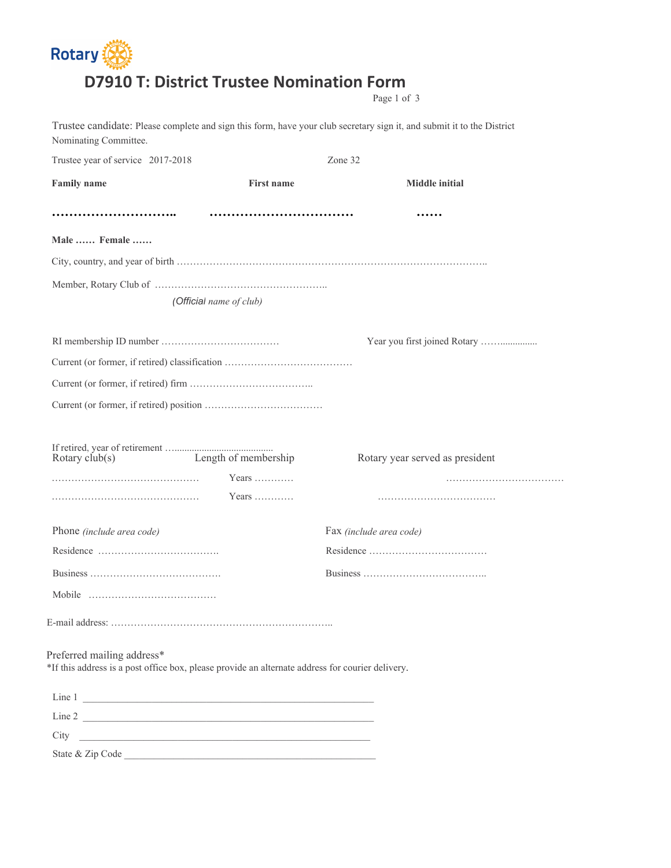## **Rotary (20) D7910 T: District Trustee Nomination Form**

Page 1 of 3

| Nominating Committee.                                                                                                          |                               | Trustee candidate: Please complete and sign this form, have your club secretary sign it, and submit it to the District |
|--------------------------------------------------------------------------------------------------------------------------------|-------------------------------|------------------------------------------------------------------------------------------------------------------------|
| Trustee year of service 2017-2018                                                                                              |                               | Zone 32                                                                                                                |
| <b>Family name</b>                                                                                                             | <b>First name</b>             | <b>Middle initial</b>                                                                                                  |
|                                                                                                                                |                               |                                                                                                                        |
| Male  Female                                                                                                                   |                               |                                                                                                                        |
|                                                                                                                                |                               |                                                                                                                        |
|                                                                                                                                |                               |                                                                                                                        |
|                                                                                                                                | (Official name of club)       |                                                                                                                        |
|                                                                                                                                |                               |                                                                                                                        |
|                                                                                                                                |                               |                                                                                                                        |
|                                                                                                                                |                               |                                                                                                                        |
|                                                                                                                                |                               |                                                                                                                        |
|                                                                                                                                |                               |                                                                                                                        |
| Rotary $club(s)$                                                                                                               | Length of membership<br>Years | Rotary year served as president                                                                                        |
|                                                                                                                                | Years                         |                                                                                                                        |
| Phone (include area code)                                                                                                      |                               | Fax (include area code)                                                                                                |
|                                                                                                                                |                               |                                                                                                                        |
|                                                                                                                                |                               |                                                                                                                        |
|                                                                                                                                |                               |                                                                                                                        |
|                                                                                                                                |                               |                                                                                                                        |
| Preferred mailing address*<br>*If this address is a post office box, please provide an alternate address for courier delivery. |                               |                                                                                                                        |
| Line 1                                                                                                                         |                               |                                                                                                                        |
| Line 2                                                                                                                         |                               |                                                                                                                        |
| City<br><u> 1989 - Johann Harry Harry Harry Harry Harry Harry Harry Harry Harry Harry Harry Harry Harry Harry Harry Harry</u>  |                               |                                                                                                                        |
|                                                                                                                                |                               |                                                                                                                        |
|                                                                                                                                |                               |                                                                                                                        |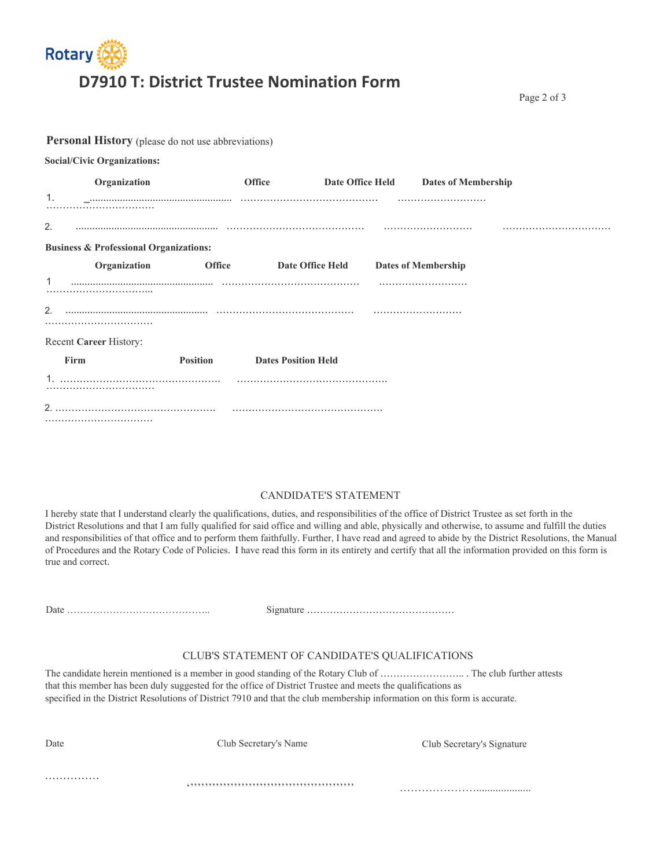

Page 2 of 3

|      | Personal History (please do not use abbreviations) |                 |                            |                  |                            |  |  |
|------|----------------------------------------------------|-----------------|----------------------------|------------------|----------------------------|--|--|
|      | <b>Social/Civic Organizations:</b>                 |                 |                            |                  |                            |  |  |
|      | Organization                                       |                 | <b>Office</b>              | Date Office Held | <b>Dates of Membership</b> |  |  |
| 1.   |                                                    |                 |                            |                  |                            |  |  |
| 2.   |                                                    |                 |                            |                  |                            |  |  |
|      | <b>Business &amp; Professional Organizations:</b>  |                 |                            |                  |                            |  |  |
|      | Organization                                       | <b>Office</b>   | <b>Date Office Held</b>    |                  | <b>Dates of Membership</b> |  |  |
|      |                                                    |                 |                            |                  |                            |  |  |
|      |                                                    |                 |                            |                  |                            |  |  |
| 2.   |                                                    |                 |                            |                  |                            |  |  |
|      | Recent Career History:                             |                 |                            |                  |                            |  |  |
| Firm |                                                    | <b>Position</b> | <b>Dates Position Held</b> |                  |                            |  |  |
|      |                                                    |                 |                            |                  |                            |  |  |
| 2.   |                                                    |                 |                            |                  |                            |  |  |
|      |                                                    |                 |                            |                  |                            |  |  |

## CANDIDATE'S STATEMENT

I hereby state that I understand clearly the qualifications, duties, and responsibilities of the office of District Trustee as set forth in the District Resolutions and that I am fully qualified for said office and willing and able, physically and otherwise, to assume and fulfill the duties and responsibilities of that office and to perform them faithfully. Further, I have read and agreed to abide by the District Resolutions, the Manual of Procedures and the Rotary Code of Policies. I have read this form in its entirety and certify that all the information provided on this form is true and correct.

Date …………………………………….. Signature ………………………………………

## CLUB'S STATEMENT OF CANDIDATE'S QUALIFICATIONS

The candidate herein mentioned is a member in good standing of the Rotary Club of …………………….. . The club further attests that this member has been duly suggested for the office of District Trustee and meets the qualifications as specified in the District Resolutions of District 7910 and that the club membership information on this form is accurate.

| Date | Club Secretary's Name | Club Secretary's Signature |
|------|-----------------------|----------------------------|
|      |                       |                            |
|      |                       |                            |
| .    |                       |                            |
|      |                       |                            |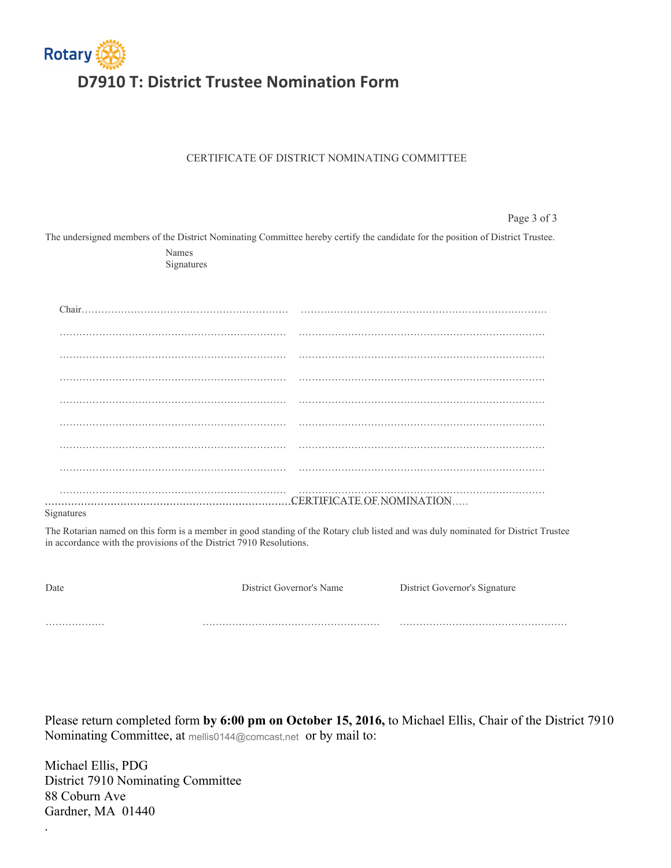

## CERTIFICATE OF DISTRICT NOMINATING COMMITTEE

Page 3 of 3 The undersigned members of the District Nominating Committee hereby certify the candidate for the position of District Trustee. Names Signatures Chair……………………………………………………… ………………………………………………………………… …………………………………………………………… ………………………………………………………………… …………………………………………………………… ………………………………………………………………… …………………………………………………………… ………………………………………………………………… …………………………………………………………… ………………………………………………………………… …………………………………………………………… ………………………………………………………………… …………………………………………………………… ………………………………………………………………… …………………………………………………………… ………………………………………………………………… …………………………………………………………… ………………………………………………………………… ………………………………………………………………………………………………………………… …………………………………………………………………… CERTIFICATE OF NOMINATION Signatures The Rotarian named on this form is a member in good standing of the Rotary club listed and was duly nominated for District Trustee in accordance with the provisions of the District 7910 Resolutions.

Date **District Governor's Name District Governor's Name District Governor's Signature** ……………… ……………………………………………… ……………………………………………

Please return completed form **by 6:00 pm on October 15, 2016,** to Michael Ellis, Chair of the District 7910 Nominating Committee, at mellis0144@comcast,net or by mail to:

Michael Ellis, PDG District 7910 Nominating Committee 88 Coburn Ave Gardner, MA 01440

.